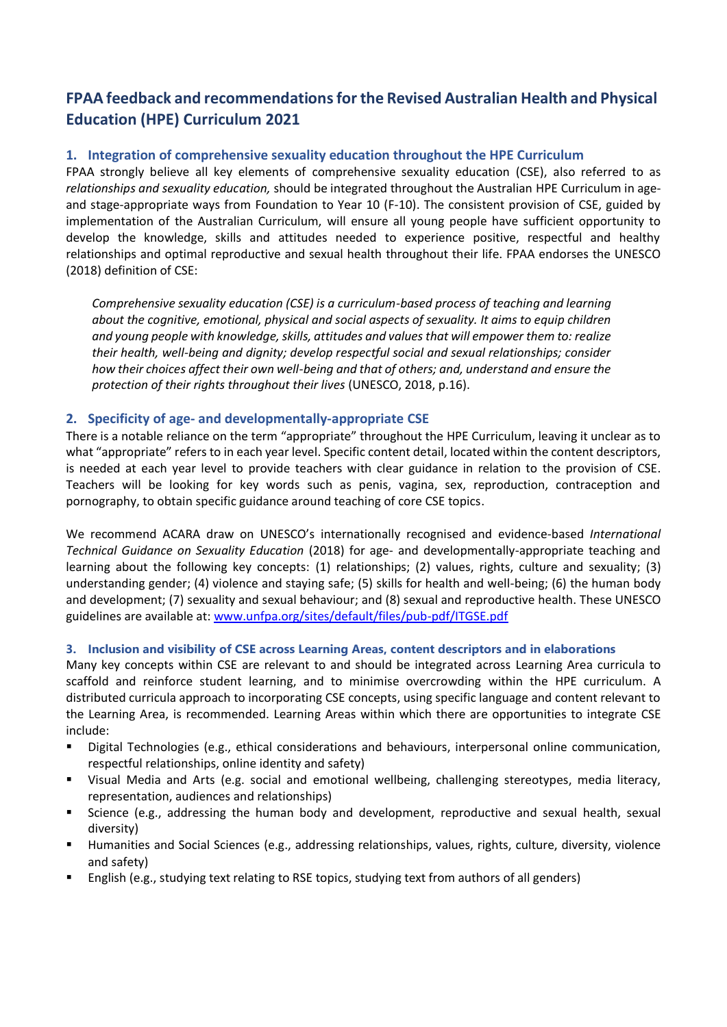# **FPAA feedback and recommendations for the Revised Australian Health and Physical Education (HPE) Curriculum 2021**

### **1. Integration of comprehensive sexuality education throughout the HPE Curriculum**

FPAA strongly believe all key elements of comprehensive sexuality education (CSE), also referred to as *relationships and sexuality education,* should be integrated throughout the Australian HPE Curriculum in ageand stage-appropriate ways from Foundation to Year 10 (F-10). The consistent provision of CSE, guided by implementation of the Australian Curriculum, will ensure all young people have sufficient opportunity to develop the knowledge, skills and attitudes needed to experience positive, respectful and healthy relationships and optimal reproductive and sexual health throughout their life. FPAA endorses the UNESCO (2018) definition of CSE:

*Comprehensive sexuality education (CSE) is a curriculum-based process of teaching and learning about the cognitive, emotional, physical and social aspects of sexuality. It aims to equip children and young people with knowledge, skills, attitudes and values that will empower them to: realize their health, well-being and dignity; develop respectful social and sexual relationships; consider how their choices affect their own well-being and that of others; and, understand and ensure the protection of their rights throughout their lives* (UNESCO, 2018, p.16).

### **2. Specificity of age- and developmentally-appropriate CSE**

There is a notable reliance on the term "appropriate" throughout the HPE Curriculum, leaving it unclear as to what "appropriate" refers to in each year level. Specific content detail, located within the content descriptors, is needed at each year level to provide teachers with clear guidance in relation to the provision of CSE. Teachers will be looking for key words such as penis, vagina, sex, reproduction, contraception and pornography, to obtain specific guidance around teaching of core CSE topics.

We recommend ACARA draw on UNESCO's internationally recognised and evidence-based *International Technical Guidance on Sexuality Education* (2018) for age- and developmentally-appropriate teaching and learning about the following key concepts: (1) relationships; (2) values, rights, culture and sexuality; (3) understanding gender; (4) violence and staying safe; (5) skills for health and well-being; (6) the human body and development; (7) sexuality and sexual behaviour; and (8) sexual and reproductive health. These UNESCO guidelines are available at: [www.unfpa.org/sites/default/files/pub-pdf/ITGSE.pdf](http://www.unfpa.org/sites/default/files/pub-pdf/ITGSE.pdf)

### **3. Inclusion and visibility of CSE across Learning Areas, content descriptors and in elaborations**

Many key concepts within CSE are relevant to and should be integrated across Learning Area curricula to scaffold and reinforce student learning, and to minimise overcrowding within the HPE curriculum. A distributed curricula approach to incorporating CSE concepts, using specific language and content relevant to the Learning Area, is recommended. Learning Areas within which there are opportunities to integrate CSE include:

- **EXP** Digital Technologies (e.g., ethical considerations and behaviours, interpersonal online communication, respectful relationships, online identity and safety)
- Visual Media and Arts (e.g. social and emotional wellbeing, challenging stereotypes, media literacy, representation, audiences and relationships)
- Science (e.g., addressing the human body and development, reproductive and sexual health, sexual diversity)
- Humanities and Social Sciences (e.g., addressing relationships, values, rights, culture, diversity, violence and safety)
- English (e.g., studying text relating to RSE topics, studying text from authors of all genders)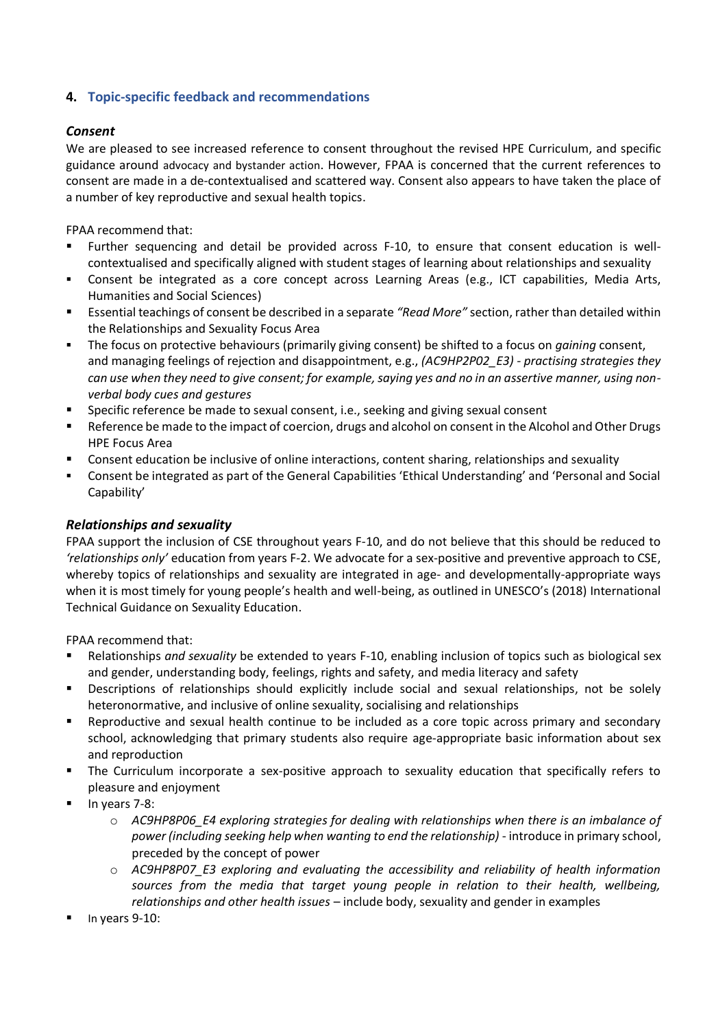# **4. Topic-specific feedback and recommendations**

#### *Consent*

We are pleased to see increased reference to consent throughout the revised HPE Curriculum, and specific guidance around advocacy and bystander action. However, FPAA is concerned that the current references to consent are made in a de-contextualised and scattered way. Consent also appears to have taken the place of a number of key reproductive and sexual health topics.

FPAA recommend that:

- Further sequencing and detail be provided across F-10, to ensure that consent education is wellcontextualised and specifically aligned with student stages of learning about relationships and sexuality
- **•** Consent be integrated as a core concept across Learning Areas (e.g., ICT capabilities, Media Arts, Humanities and Social Sciences)
- Essential teachings of consent be described in a separate *"Read More"* section, rather than detailed within the Relationships and Sexuality Focus Area
- The focus on protective behaviours (primarily giving consent) be shifted to a focus on *gaining* consent, and managing feelings of rejection and disappointment, e.g., *(AC9HP2P02\_E3) - practising strategies they can use when they need to give consent; for example, saying yes and no in an assertive manner, using nonverbal body cues and gestures*
- Specific reference be made to sexual consent, i.e., seeking and giving sexual consent
- Reference be made to the impact of coercion, drugs and alcohol on consent in the Alcohol and Other Drugs HPE Focus Area
- Consent education be inclusive of online interactions, content sharing, relationships and sexuality
- Consent be integrated as part of the General Capabilities 'Ethical Understanding' and 'Personal and Social Capability'

### *Relationships and sexuality*

FPAA support the inclusion of CSE throughout years F-10, and do not believe that this should be reduced to *'relationships only'* education from years F-2. We advocate for a sex-positive and preventive approach to CSE, whereby topics of relationships and sexuality are integrated in age- and developmentally-appropriate ways when it is most timely for young people's health and well-being, as outlined in UNESCO's (2018) International Technical Guidance on Sexuality Education.

FPAA recommend that:

- Relationships *and sexuality* be extended to years F-10, enabling inclusion of topics such as biological sex and gender, understanding body, feelings, rights and safety, and media literacy and safety
- Descriptions of relationships should explicitly include social and sexual relationships, not be solely heteronormative, and inclusive of online sexuality, socialising and relationships
- Reproductive and sexual health continue to be included as a core topic across primary and secondary school, acknowledging that primary students also require age-appropriate basic information about sex and reproduction
- The Curriculum incorporate a sex-positive approach to sexuality education that specifically refers to pleasure and enjoyment
- In years 7-8:
	- o *AC9HP8P06\_E4 exploring strategies for dealing with relationships when there is an imbalance of power (including seeking help when wanting to end the relationship)* - introduce in primary school, preceded by the concept of power
	- o *AC9HP8P07\_E3 exploring and evaluating the accessibility and reliability of health information sources from the media that target young people in relation to their health, wellbeing, relationships and other health issues* – include body, sexuality and gender in examples
- In years 9-10: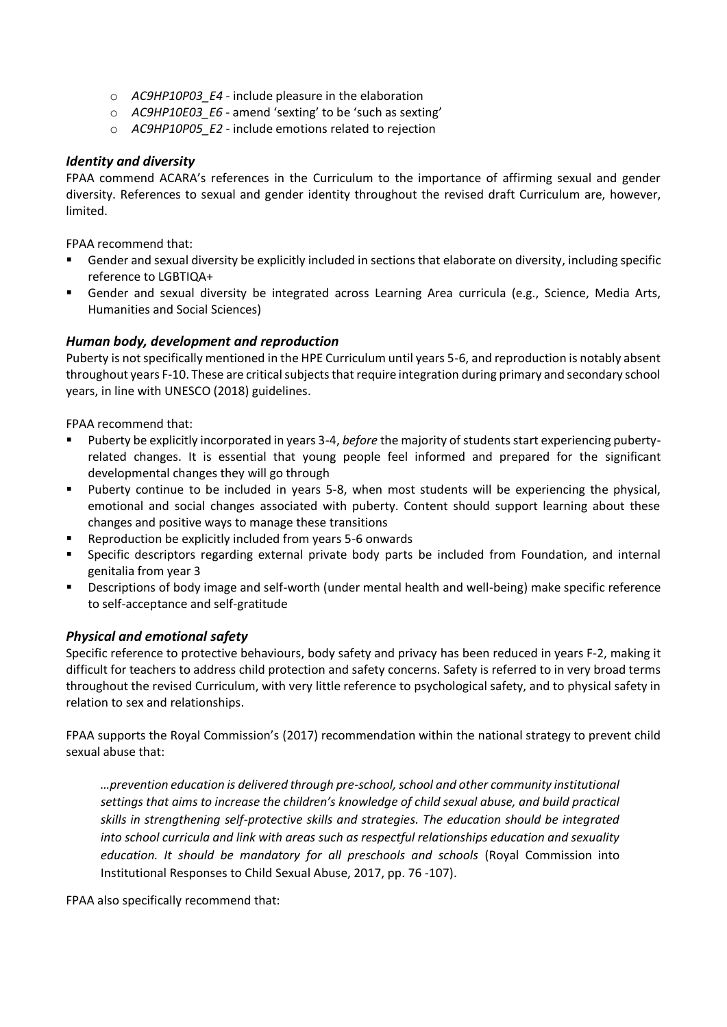- o *AC9HP10P03\_E4* include pleasure in the elaboration
- o *AC9HP10E03\_E6* amend 'sexting' to be 'such as sexting'
- o *AC9HP10P05\_E2* include emotions related to rejection

#### *Identity and diversity*

FPAA commend ACARA's references in the Curriculum to the importance of affirming sexual and gender diversity. References to sexual and gender identity throughout the revised draft Curriculum are, however, limited.

FPAA recommend that:

- Gender and sexual diversity be explicitly included in sections that elaborate on diversity, including specific reference to LGBTIQA+
- Gender and sexual diversity be integrated across Learning Area curricula (e.g., Science, Media Arts, Humanities and Social Sciences)

#### *Human body, development and reproduction*

Puberty is not specifically mentioned in the HPE Curriculum until years 5-6, and reproduction is notably absent throughout years F-10. These are critical subjects that require integration during primary and secondary school years, in line with UNESCO (2018) guidelines.

FPAA recommend that:

- Puberty be explicitly incorporated in years 3-4, before the majority of students start experiencing pubertyrelated changes. It is essential that young people feel informed and prepared for the significant developmental changes they will go through
- Puberty continue to be included in years 5-8, when most students will be experiencing the physical, emotional and social changes associated with puberty. Content should support learning about these changes and positive ways to manage these transitions
- Reproduction be explicitly included from years 5-6 onwards
- **•** Specific descriptors regarding external private body parts be included from Foundation, and internal genitalia from year 3
- Descriptions of body image and self-worth (under mental health and well-being) make specific reference to self-acceptance and self-gratitude

#### *Physical and emotional safety*

Specific reference to protective behaviours, body safety and privacy has been reduced in years F-2, making it difficult for teachers to address child protection and safety concerns. Safety is referred to in very broad terms throughout the revised Curriculum, with very little reference to psychological safety, and to physical safety in relation to sex and relationships.

FPAA supports the Royal Commission's (2017) recommendation within the national strategy to prevent child sexual abuse that:

*…prevention education is delivered through pre-school, school and other community institutional settings that aims to increase the children's knowledge of child sexual abuse, and build practical skills in strengthening self-protective skills and strategies. The education should be integrated into school curricula and link with areas such as respectful relationships education and sexuality education. It should be mandatory for all preschools and schools* (Royal Commission into Institutional Responses to Child Sexual Abuse, 2017, pp. 76 -107).

FPAA also specifically recommend that: